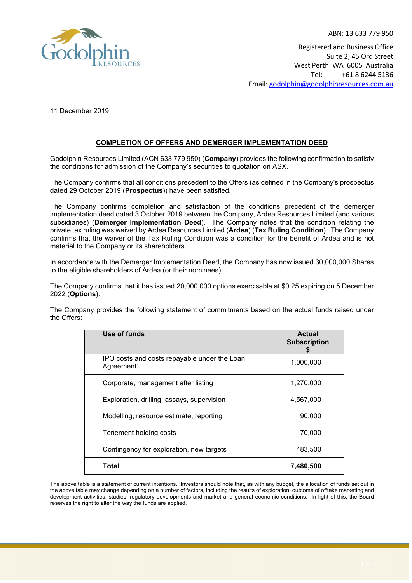

ABN: 13 633 779 950 Registered and Business Office Suite 2, 45 Ord Street West Perth WA 6005 Australia Tel: +61 8 6244 5136 Email: [godolphin@godolphinresources.com.au](mailto:godolphin@godolphinresources.com.au)

11 December 2019

## **COMPLETION OF OFFERS AND DEMERGER IMPLEMENTATION DEED**

Godolphin Resources Limited (ACN 633 779 950) (**Company**) provides the following confirmation to satisfy the conditions for admission of the Company's securities to quotation on ASX.

The Company confirms that all conditions precedent to the Offers (as defined in the Company's prospectus dated 29 October 2019 (**Prospectus**)) have been satisfied.

The Company confirms completion and satisfaction of the conditions precedent of the demerger implementation deed dated 3 October 2019 between the Company, Ardea Resources Limited (and various subsidiaries) (**Demerger Implementation Deed**). The Company notes that the condition relating the private tax ruling was waived by Ardea Resources Limited (**Ardea**) (**Tax Ruling Condition**). The Company confirms that the waiver of the Tax Ruling Condition was a condition for the benefit of Ardea and is not material to the Company or its shareholders.

In accordance with the Demerger Implementation Deed, the Company has now issued 30,000,000 Shares to the eligible shareholders of Ardea (or their nominees).

The Company confirms that it has issued 20,000,000 options exercisable at \$0.25 expiring on 5 December 2022 (**Options**).

The Company provides the following statement of commitments based on the actual funds raised under the Offers:

| Use of funds                                                           | <b>Actual</b><br><b>Subscription</b> |
|------------------------------------------------------------------------|--------------------------------------|
| IPO costs and costs repayable under the Loan<br>Agreement <sup>1</sup> | 1,000,000                            |
| Corporate, management after listing                                    | 1,270,000                            |
| Exploration, drilling, assays, supervision                             | 4,567,000                            |
| Modelling, resource estimate, reporting                                | 90,000                               |
| Tenement holding costs                                                 | 70,000                               |
| Contingency for exploration, new targets                               | 483,500                              |
| Total                                                                  | 7,480,500                            |

The above table is a statement of current intentions. Investors should note that, as with any budget, the allocation of funds set out in the above table may change depending on a number of factors, including the results of exploration, outcome of offtake marketing and development activities, studies, regulatory developments and market and general economic conditions. In light of this, the Board reserves the right to alter the way the funds are applied.